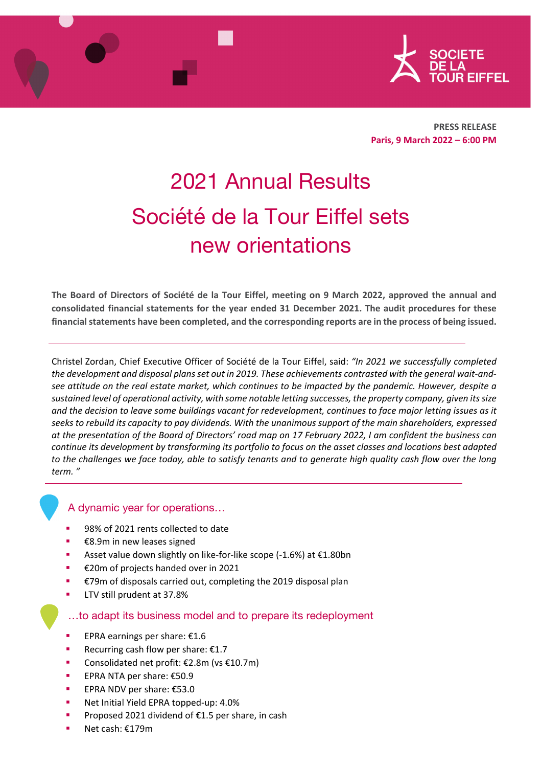



**PRESS RELEASE Paris, 9 March 2022 – 6:00 PM** 

# 2021 Annual Results Société de la Tour Eiffel sets new orientations

The Board of Directors of Société de la Tour Eiffel, meeting on 9 March 2022, approved the annual and **consolidated financial statements for the year ended 31 December 2021. The audit procedures for these financialstatements have been completed, and the corresponding reports are in the process of being issued.**

Christel Zordan, Chief Executive Officer of Société de la Tour Eiffel, said: *"In 2021 we successfully completed* the development and disposal plans set out in 2019. These achievements contrasted with the general wait-andsee attitude on the real estate market, which continues to be impacted by the pandemic. However, despite a *sustained level of operational activity, with some notable letting successes, the property company, given itssize* and the decision to leave some buildings vacant for redevelopment, continues to face major letting issues as it seeks to rebuild its capacity to pay dividends. With the unanimous support of the main shareholders, expressed at the presentation of the Board of Directors' road map on 17 February 2022, I am confident the business can continue its development by transforming its portfolio to focus on the asset classes and locations best adapted to the challenges we face today, able to satisfy tenants and to generate high quality cash flow over the long *term. "*

# A dynamic year for operations…

- 98% of 2021 rents collected to date
- €8.9m in new leases signed
- Asset value down slightly on like‐for‐like scope (‐1.6%) at €1.80bn
- €20m of projects handed over in 2021
- €79m of disposals carried out, completing the 2019 disposal plan
- LTV still prudent at 37.8%

# …to adapt its business model and to prepare its redeployment

- **EPRA earnings per share:**  $£1.6$
- Recurring cash flow per share: €1.7
- Consolidated net profit: €2.8m (vs €10.7m)
- EPRA NTA per share: €50.9
- EPRA NDV per share: €53.0
- Net Initial Yield EPRA topped-up: 4.0%
- Proposed 2021 dividend of €1.5 per share, in cash
- Net cash: €179m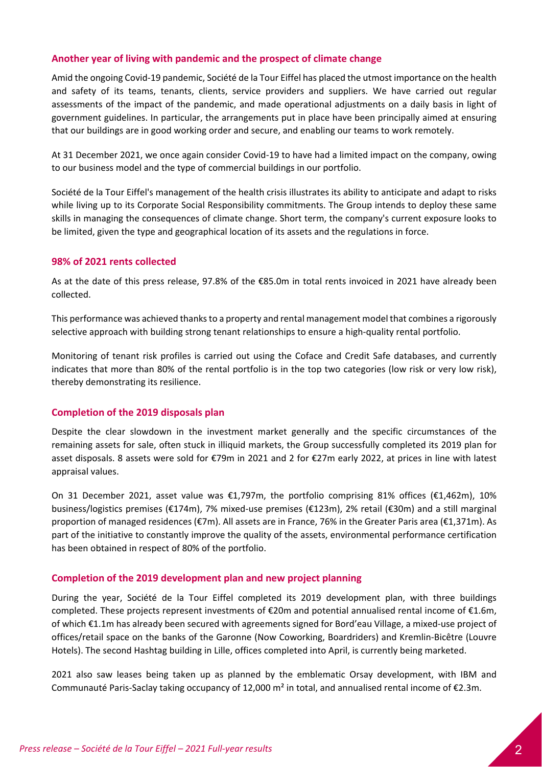# **Another year of living with pandemic and the prospect of climate change**

Amid the ongoing Covid‐19 pandemic, Société de la Tour Eiffel has placed the utmost importance on the health and safety of its teams, tenants, clients, service providers and suppliers. We have carried out regular assessments of the impact of the pandemic, and made operational adjustments on a daily basis in light of government guidelines. In particular, the arrangements put in place have been principally aimed at ensuring that our buildings are in good working order and secure, and enabling our teams to work remotely.

At 31 December 2021, we once again consider Covid‐19 to have had a limited impact on the company, owing to our business model and the type of commercial buildings in our portfolio.

Société de la Tour Eiffel's management of the health crisis illustrates its ability to anticipate and adapt to risks while living up to its Corporate Social Responsibility commitments. The Group intends to deploy these same skills in managing the consequences of climate change. Short term, the company's current exposure looks to be limited, given the type and geographical location of its assets and the regulations in force.

# **98% of 2021 rents collected**

As at the date of this press release, 97.8% of the €85.0m in total rents invoiced in 2021 have already been collected.

This performance was achieved thanks to a property and rental management model that combines a rigorously selective approach with building strong tenant relationships to ensure a high-quality rental portfolio.

Monitoring of tenant risk profiles is carried out using the Coface and Credit Safe databases, and currently indicates that more than 80% of the rental portfolio is in the top two categories (low risk or very low risk), thereby demonstrating its resilience.

# **Completion of the 2019 disposals plan**

Despite the clear slowdown in the investment market generally and the specific circumstances of the remaining assets for sale, often stuck in illiquid markets, the Group successfully completed its 2019 plan for asset disposals. 8 assets were sold for €79m in 2021 and 2 for €27m early 2022, at prices in line with latest appraisal values.

On 31 December 2021, asset value was €1,797m, the portfolio comprising 81% offices (€1,462m), 10% business/logistics premises (€174m), 7% mixed‐use premises (€123m), 2% retail (€30m) and a still marginal proportion of managed residences (€7m). All assets are in France, 76% in the Greater Paris area (€1,371m). As part of the initiative to constantly improve the quality of the assets, environmental performance certification has been obtained in respect of 80% of the portfolio.

# **Completion of the 2019 development plan and new project planning**

During the year, Société de la Tour Eiffel completed its 2019 development plan, with three buildings completed. These projects represent investments of €20m and potential annualised rental income of €1.6m, of which €1.1m has already been secured with agreements signed for Bord'eau Village, a mixed‐use project of offices/retail space on the banks of the Garonne (Now Coworking, Boardriders) and Kremlin‐Bicêtre (Louvre Hotels). The second Hashtag building in Lille, offices completed into April, is currently being marketed.

2021 also saw leases being taken up as planned by the emblematic Orsay development, with IBM and Communauté Paris‐Saclay taking occupancy of 12,000 m² in total, and annualised rental income of €2.3m.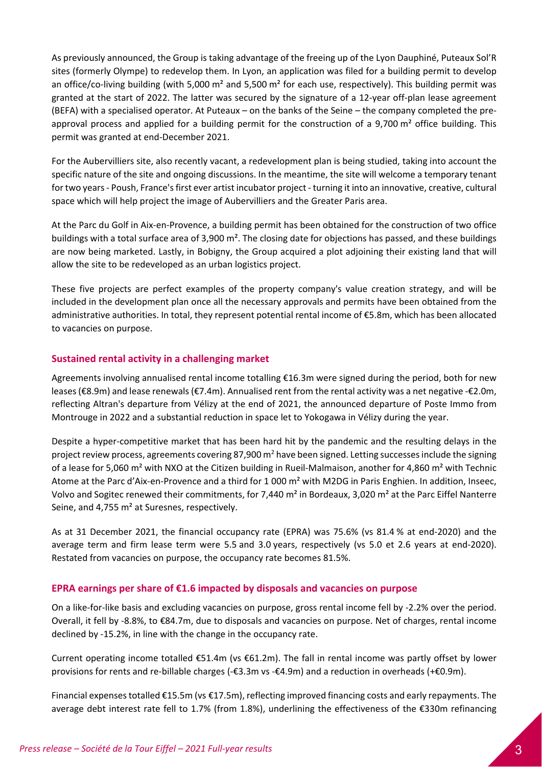As previously announced, the Group is taking advantage of the freeing up of the Lyon Dauphiné, Puteaux Sol'R sites (formerly Olympe) to redevelop them. In Lyon, an application was filed for a building permit to develop an office/co-living building (with 5,000 m<sup>2</sup> and 5,500 m<sup>2</sup> for each use, respectively). This building permit was granted at the start of 2022. The latter was secured by the signature of a 12‐year off‐plan lease agreement (BEFA) with a specialised operator. At Puteaux – on the banks of the Seine – the company completed the pre‐ approval process and applied for a building permit for the construction of a 9,700  $m<sup>2</sup>$  office building. This permit was granted at end‐December 2021.

For the Aubervilliers site, also recently vacant, a redevelopment plan is being studied, taking into account the specific nature of the site and ongoing discussions. In the meantime, the site will welcome a temporary tenant for two years - Poush, France's first ever artist incubator project - turning it into an innovative, creative, cultural space which will help project the image of Aubervilliers and the Greater Paris area.

At the Parc du Golf in Aix‐en‐Provence, a building permit has been obtained for the construction of two office buildings with a total surface area of 3,900 m². The closing date for objections has passed, and these buildings are now being marketed. Lastly, in Bobigny, the Group acquired a plot adjoining their existing land that will allow the site to be redeveloped as an urban logistics project.

These five projects are perfect examples of the property company's value creation strategy, and will be included in the development plan once all the necessary approvals and permits have been obtained from the administrative authorities. In total, they represent potential rental income of €5.8m, which has been allocated to vacancies on purpose.

# **Sustained rental activity in a challenging market**

Agreements involving annualised rental income totalling €16.3m were signed during the period, both for new leases(€8.9m) and lease renewals(€7.4m). Annualised rent from the rental activity was a net negative ‐€2.0m, reflecting Altran's departure from Vélizy at the end of 2021, the announced departure of Poste Immo from Montrouge in 2022 and a substantial reduction in space let to Yokogawa in Vélizy during the year.

Despite a hyper-competitive market that has been hard hit by the pandemic and the resulting delays in the project review process, agreements covering 87,900  $m^2$  have been signed. Letting successes include the signing of a lease for 5,060 m<sup>2</sup> with NXO at the Citizen building in Rueil-Malmaison, another for 4,860 m<sup>2</sup> with Technic Atome at the Parc d'Aix‐en‐Provence and a third for 1 000 m² with M2DG in Paris Enghien. In addition, Inseec, Volvo and Sogitec renewed their commitments, for 7,440 m² in Bordeaux, 3,020 m² at the Parc Eiffel Nanterre Seine, and 4,755 m² at Suresnes, respectively.

As at 31 December 2021, the financial occupancy rate (EPRA) was 75.6% (vs 81.4 % at end‐2020) and the average term and firm lease term were 5.5 and 3.0 years, respectively (vs 5.0 et 2.6 years at end‐2020). Restated from vacancies on purpose, the occupancy rate becomes 81.5%.

# **EPRA earnings per share of €1.6 impacted by disposals and vacancies on purpose**

On a like-for-like basis and excluding vacancies on purpose, gross rental income fell by -2.2% over the period. Overall, it fell by ‐8.8%, to €84.7m, due to disposals and vacancies on purpose. Net of charges, rental income declined by ‐15.2%, in line with the change in the occupancy rate.

Current operating income totalled  $\epsilon$ 51.4m (vs  $\epsilon$ 61.2m). The fall in rental income was partly offset by lower provisions for rents and re‐billable charges (‐€3.3m vs ‐€4.9m) and a reduction in overheads (+€0.9m).

Financial expensestotalled €15.5m (vs €17.5m), reflecting improved financing costs and early repayments. The average debt interest rate fell to 1.7% (from 1.8%), underlining the effectiveness of the €330m refinancing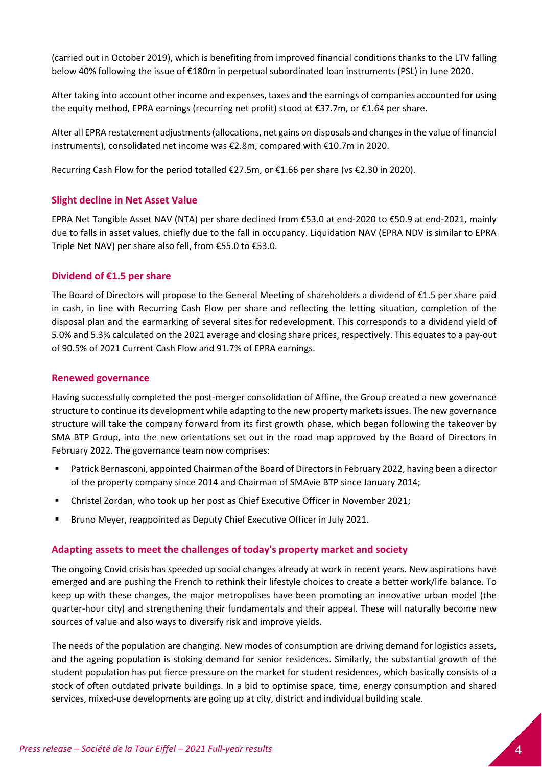(carried out in October 2019), which is benefiting from improved financial conditions thanks to the LTV falling below 40% following the issue of €180m in perpetual subordinated loan instruments (PSL) in June 2020.

After taking into account other income and expenses, taxes and the earnings of companies accounted for using the equity method, EPRA earnings (recurring net profit) stood at €37.7m, or €1.64 per share.

After all EPRA restatement adjustments(allocations, net gains on disposals and changesin the value of financial instruments), consolidated net income was €2.8m, compared with €10.7m in 2020.

Recurring Cash Flow for the period totalled €27.5m, or €1.66 per share (vs €2.30 in 2020).

# **Slight decline in Net Asset Value**

EPRA Net Tangible Asset NAV (NTA) per share declined from €53.0 at end‐2020 to €50.9 at end‐2021, mainly due to falls in asset values, chiefly due to the fall in occupancy. Liquidation NAV (EPRA NDV is similar to EPRA Triple Net NAV) per share also fell, from €55.0 to €53.0.

# **Dividend of €1.5 per share**

The Board of Directors will propose to the General Meeting of shareholders a dividend of €1.5 per share paid in cash, in line with Recurring Cash Flow per share and reflecting the letting situation, completion of the disposal plan and the earmarking of several sites for redevelopment. This corresponds to a dividend yield of 5.0% and 5.3% calculated on the 2021 average and closing share prices, respectively. This equates to a pay‐out of 90.5% of 2021 Current Cash Flow and 91.7% of EPRA earnings.

# **Renewed governance**

Having successfully completed the post-merger consolidation of Affine, the Group created a new governance structure to continue its development while adapting to the new property marketsissues. The new governance structure will take the company forward from its first growth phase, which began following the takeover by SMA BTP Group, into the new orientations set out in the road map approved by the Board of Directors in February 2022. The governance team now comprises:

- Patrick Bernasconi, appointed Chairman of the Board of Directorsin February 2022, having been a director of the property company since 2014 and Chairman of SMAvie BTP since January 2014;
- Christel Zordan, who took up her post as Chief Executive Officer in November 2021;
- Bruno Meyer, reappointed as Deputy Chief Executive Officer in July 2021.

# **Adapting assets to meet the challenges of today's property market and society**

The ongoing Covid crisis has speeded up social changes already at work in recent years. New aspirations have emerged and are pushing the French to rethink their lifestyle choices to create a better work/life balance. To keep up with these changes, the major metropolises have been promoting an innovative urban model (the quarter‐hour city) and strengthening their fundamentals and their appeal. These will naturally become new sources of value and also ways to diversify risk and improve yields.

The needs of the population are changing. New modes of consumption are driving demand for logistics assets, and the ageing population is stoking demand for senior residences. Similarly, the substantial growth of the student population has put fierce pressure on the market for student residences, which basically consists of a stock of often outdated private buildings. In a bid to optimise space, time, energy consumption and shared services, mixed‐use developments are going up at city, district and individual building scale.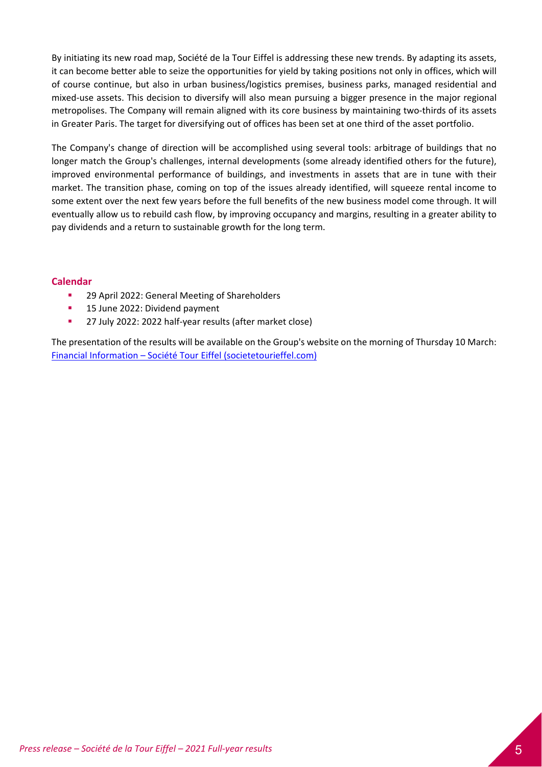By initiating its new road map, Société de la Tour Eiffel is addressing these new trends. By adapting its assets, it can become better able to seize the opportunities for yield by taking positions not only in offices, which will of course continue, but also in urban business/logistics premises, business parks, managed residential and mixed‐use assets. This decision to diversify will also mean pursuing a bigger presence in the major regional metropolises. The Company will remain aligned with its core business by maintaining two‐thirds of its assets in Greater Paris. The target for diversifying out of offices has been set at one third of the asset portfolio.

The Company's change of direction will be accomplished using several tools: arbitrage of buildings that no longer match the Group's challenges, internal developments (some already identified others for the future), improved environmental performance of buildings, and investments in assets that are in tune with their market. The transition phase, coming on top of the issues already identified, will squeeze rental income to some extent over the next few years before the full benefits of the new business model come through. It will eventually allow us to rebuild cash flow, by improving occupancy and margins, resulting in a greater ability to pay dividends and a return to sustainable growth for the long term.

# **Calendar**

- <sup>2</sup> 29 April 2022: General Meeting of Shareholders
- **15 June 2022: Dividend payment**
- 27 July 2022: 2022 half-year results (after market close)

The presentation of the results will be available on the Group's website on the morning of Thursday 10 March: Financial Information – Société Tour Eiffel (societetourieffel.com)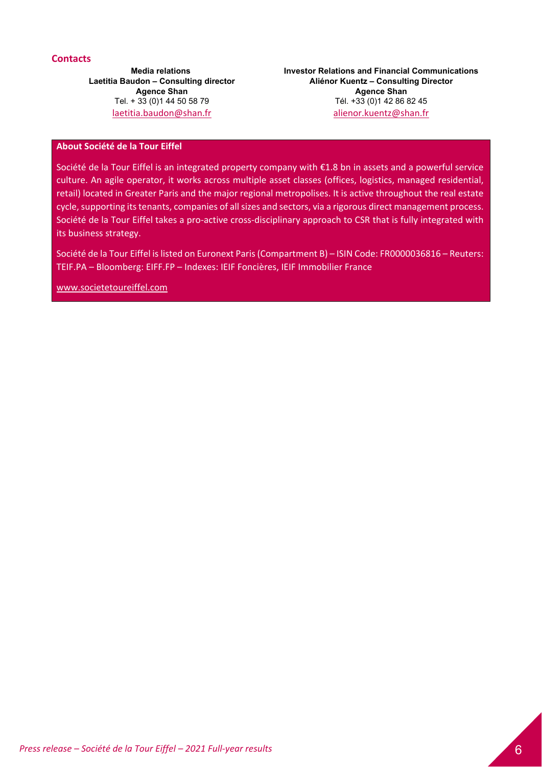# **Contacts**

**Media relations Laetitia Baudon – Consulting director Agence Shan** Tel. + 33 (0)1 44 50 58 79 laetitia.baudon@shan.fr

**Investor Relations and Financial Communications Aliénor Kuentz – Consulting Director Agence Shan**  Tél. +33 (0)1 42 86 82 45 alienor.kuentz@shan.fr

# **About Société de la Tour Eiffel**

Société de la Tour Eiffel is an integrated property company with €1.8 bn in assets and a powerful service culture. An agile operator, it works across multiple asset classes (offices, logistics, managed residential, retail) located in Greater Paris and the major regional metropolises. It is active throughout the real estate cycle, supporting its tenants, companies of all sizes and sectors, via a rigorous direct management process. Société de la Tour Eiffel takes a pro‐active cross‐disciplinary approach to CSR that is fully integrated with its business strategy.

Société de la Tour Eiffel is listed on Euronext Paris (Compartment B) – ISIN Code: FR0000036816 – Reuters: TEIF.PA – Bloomberg: EIFF.FP – Indexes: IEIF Foncières, IEIF Immobilier France

www.societetoureiffel.com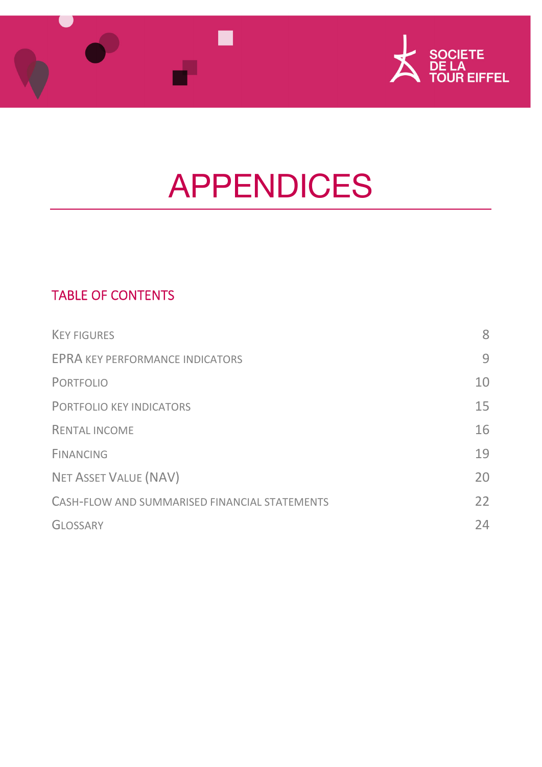



# APPENDICES

# TABLE OF CONTENTS

| <b>KEY FIGURES</b>                            | 8  |
|-----------------------------------------------|----|
| <b>EPRA KEY PERFORMANCE INDICATORS</b>        | 9  |
| <b>PORTFOLIO</b>                              | 10 |
| <b>PORTFOLIO KEY INDICATORS</b>               | 15 |
| <b>RENTAL INCOME</b>                          | 16 |
| <b>FINANCING</b>                              | 19 |
| <b>NET ASSET VALUE (NAV)</b>                  | 20 |
| CASH-FLOW AND SUMMARISED FINANCIAL STATEMENTS | 22 |
| <b>GLOSSARY</b>                               | 24 |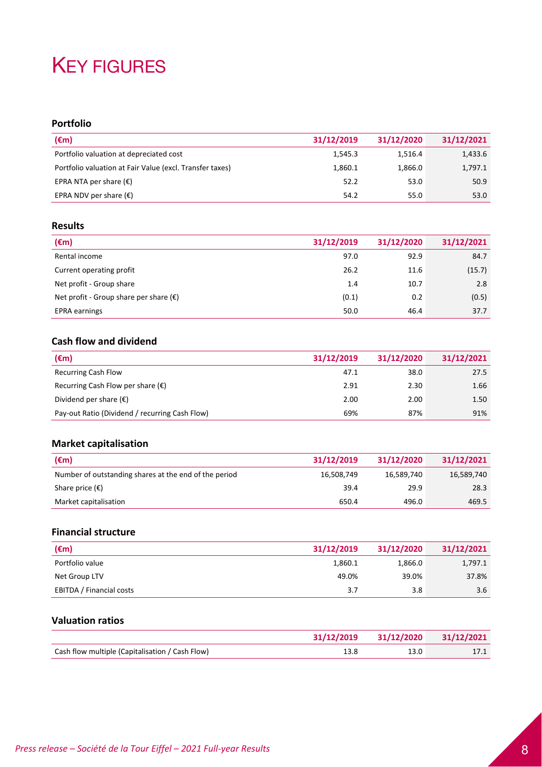# **KEY FIGURES**

# **Portfolio**

| $(\epsilon m)$                                           | 31/12/2019 | 31/12/2020 | 31/12/2021 |
|----------------------------------------------------------|------------|------------|------------|
| Portfolio valuation at depreciated cost                  | 1,545.3    | 1,516.4    | 1,433.6    |
| Portfolio valuation at Fair Value (excl. Transfer taxes) | 1,860.1    | 1.866.0    | 1,797.1    |
| EPRA NTA per share $(\epsilon)$                          | 52.2       | 53.0       | 50.9       |
| EPRA NDV per share $(\epsilon)$                          | 54.2       | 55.0       | 53.0       |

# **Results**

| (€m)                                            | 31/12/2019 | 31/12/2020 | 31/12/2021 |
|-------------------------------------------------|------------|------------|------------|
| Rental income                                   | 97.0       | 92.9       | 84.7       |
| Current operating profit                        | 26.2       | 11.6       | (15.7)     |
| Net profit - Group share                        | 1.4        | 10.7       | 2.8        |
| Net profit - Group share per share $(\epsilon)$ | (0.1)      | 0.2        | (0.5)      |
| <b>EPRA</b> earnings                            | 50.0       | 46.4       | 37.7       |

# **Cash flow and dividend**

| $(\epsilon m)$                                 | 31/12/2019 | 31/12/2020 | 31/12/2021 |
|------------------------------------------------|------------|------------|------------|
| <b>Recurring Cash Flow</b>                     | 47.1       | 38.0       | 27.5       |
| Recurring Cash Flow per share $(\epsilon)$     | 2.91       | 2.30       | 1.66       |
| Dividend per share $(\epsilon)$                | 2.00       | 2.00       | 1.50       |
| Pay-out Ratio (Dividend / recurring Cash Flow) | 69%        | 87%        | 91%        |

# **Market capitalisation**

| $(\epsilon m)$                                        | 31/12/2019 | 31/12/2020 | 31/12/2021 |
|-------------------------------------------------------|------------|------------|------------|
| Number of outstanding shares at the end of the period | 16,508,749 | 16,589,740 | 16,589,740 |
| Share price $(\epsilon)$                              | 39.4       | 29.9       | 28.3       |
| Market capitalisation                                 | 650.4      | 496.0      | 469.5      |

# **Financial structure**

| $(\epsilon m)$           | 31/12/2019 | 31/12/2020 | 31/12/2021 |
|--------------------------|------------|------------|------------|
| Portfolio value          | 1,860.1    | 1,866.0    | 1,797.1    |
| Net Group LTV            | 49.0%      | 39.0%      | 37.8%      |
| EBITDA / Financial costs | 3.7        | 3.8        | 3.6        |

# **Valuation ratios**

|                                                 |      | 31/12/2019 31/12/2020 31/12/2021 |
|-------------------------------------------------|------|----------------------------------|
| Cash flow multiple (Capitalisation / Cash Flow) | 13.0 | 17.1                             |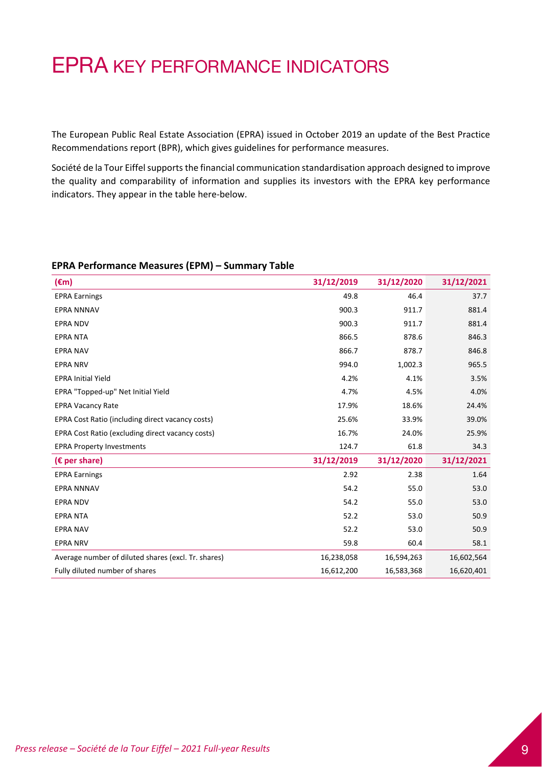# EPRA KEY PERFORMANCE INDICATORS

The European Public Real Estate Association (EPRA) issued in October 2019 an update of the Best Practice Recommendations report (BPR), which gives guidelines for performance measures.

Société de la Tour Eiffel supports the financial communication standardisation approach designed to improve the quality and comparability of information and supplies its investors with the EPRA key performance indicators. They appear in the table here-below.

## **EPRA Performance Measures (EPM) – Summary Table**

| $(\epsilon m)$                                      | 31/12/2019 | 31/12/2020 | 31/12/2021 |
|-----------------------------------------------------|------------|------------|------------|
| <b>EPRA Earnings</b>                                | 49.8       | 46.4       | 37.7       |
| <b>EPRA NNNAV</b>                                   | 900.3      | 911.7      | 881.4      |
| <b>EPRA NDV</b>                                     | 900.3      | 911.7      | 881.4      |
| <b>EPRA NTA</b>                                     | 866.5      | 878.6      | 846.3      |
| <b>EPRA NAV</b>                                     | 866.7      | 878.7      | 846.8      |
| <b>EPRA NRV</b>                                     | 994.0      | 1,002.3    | 965.5      |
| <b>EPRA Initial Yield</b>                           | 4.2%       | 4.1%       | 3.5%       |
| EPRA "Topped-up" Net Initial Yield                  | 4.7%       | 4.5%       | 4.0%       |
| <b>EPRA Vacancy Rate</b>                            | 17.9%      | 18.6%      | 24.4%      |
| EPRA Cost Ratio (including direct vacancy costs)    | 25.6%      | 33.9%      | 39.0%      |
| EPRA Cost Ratio (excluding direct vacancy costs)    | 16.7%      | 24.0%      | 25.9%      |
| <b>EPRA Property Investments</b>                    | 124.7      | 61.8       | 34.3       |
| ( $\epsilon$ per share)                             | 31/12/2019 | 31/12/2020 | 31/12/2021 |
| <b>EPRA Earnings</b>                                | 2.92       | 2.38       | 1.64       |
| <b>EPRA NNNAV</b>                                   | 54.2       | 55.0       | 53.0       |
| <b>EPRA NDV</b>                                     | 54.2       | 55.0       | 53.0       |
| <b>EPRA NTA</b>                                     | 52.2       | 53.0       | 50.9       |
| <b>EPRA NAV</b>                                     | 52.2       | 53.0       | 50.9       |
| <b>EPRA NRV</b>                                     | 59.8       | 60.4       | 58.1       |
| Average number of diluted shares (excl. Tr. shares) | 16,238,058 | 16,594,263 | 16,602,564 |
| Fully diluted number of shares                      | 16,612,200 | 16,583,368 | 16,620,401 |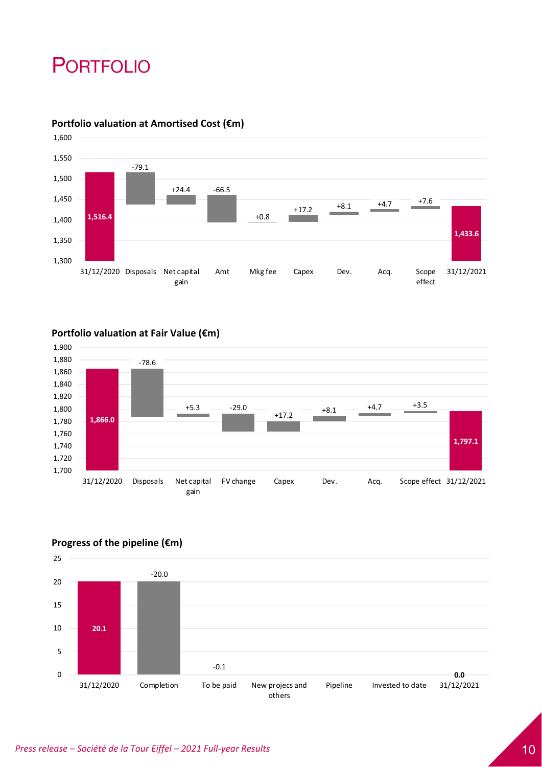# PORTFOLIO



# **Portfolio valuation at Amortised Cost (€m)**

# **Portfolio valuation at Fair Value (€m)**





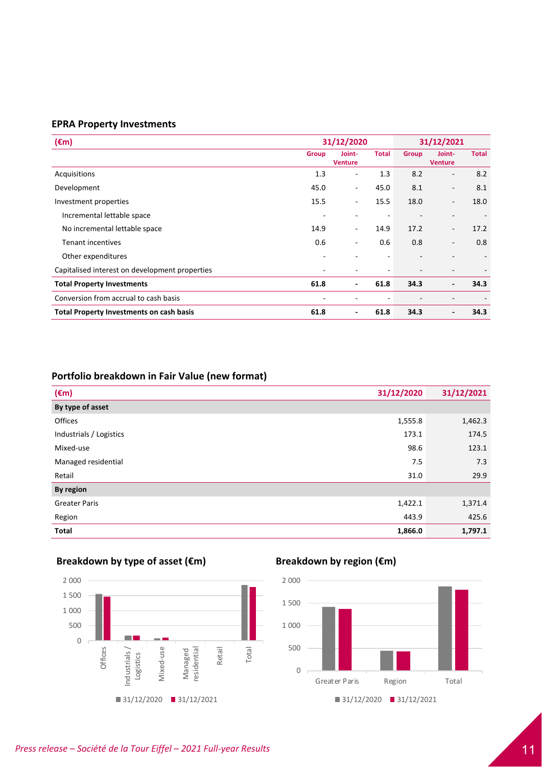## **EPRA Property Investments**

| $(\epsilon m)$                                  | 31/12/2020               |                          |              | 31/12/2021   |                          |              |
|-------------------------------------------------|--------------------------|--------------------------|--------------|--------------|--------------------------|--------------|
|                                                 | Group                    | Joint-<br><b>Venture</b> | <b>Total</b> | <b>Group</b> | Joint-<br><b>Venture</b> | <b>Total</b> |
| Acquisitions                                    | 1.3                      | $\overline{\phantom{0}}$ | 1.3          | 8.2          | $\overline{\phantom{a}}$ | 8.2          |
| Development                                     | 45.0                     | ۰.                       | 45.0         | 8.1          | $\overline{\phantom{a}}$ | 8.1          |
| Investment properties                           | 15.5                     | $\overline{\phantom{a}}$ | 15.5         | 18.0         | $\overline{\phantom{a}}$ | 18.0         |
| Incremental lettable space                      | $\overline{\phantom{a}}$ |                          | ٠            |              |                          |              |
| No incremental lettable space                   | 14.9                     | ٠                        | 14.9         | 17.2         | $\overline{\phantom{a}}$ | 17.2         |
| <b>Tenant incentives</b>                        | 0.6                      | $\overline{\phantom{0}}$ | 0.6          | 0.8          | $\overline{\phantom{a}}$ | 0.8          |
| Other expenditures                              | $\overline{\phantom{a}}$ |                          | ۰            |              | $\overline{\phantom{0}}$ |              |
| Capitalised interest on development properties  | ۰                        |                          |              |              |                          |              |
| <b>Total Property Investments</b>               | 61.8                     | -                        | 61.8         | 34.3         | $\blacksquare$           | 34.3         |
| Conversion from accrual to cash basis           | $\overline{\phantom{a}}$ |                          | ٠            |              | $\overline{\phantom{a}}$ |              |
| <b>Total Property Investments on cash basis</b> | 61.8                     | ٠                        | 61.8         | 34.3         | $\overline{\phantom{a}}$ | 34.3         |

# **Portfolio breakdown in Fair Value (new format)**

| $(\epsilon m)$          | 31/12/2020 | 31/12/2021 |
|-------------------------|------------|------------|
| By type of asset        |            |            |
| Offices                 | 1,555.8    | 1,462.3    |
| Industrials / Logistics | 173.1      | 174.5      |
| Mixed-use               | 98.6       | 123.1      |
| Managed residential     | 7.5        | 7.3        |
| Retail                  | 31.0       | 29.9       |
| By region               |            |            |
| <b>Greater Paris</b>    | 1,422.1    | 1,371.4    |
| Region                  | 443.9      | 425.6      |
| <b>Total</b>            | 1,866.0    | 1,797.1    |

# **Breakdown by type of asset (€m) Breakdown by region (€m)**



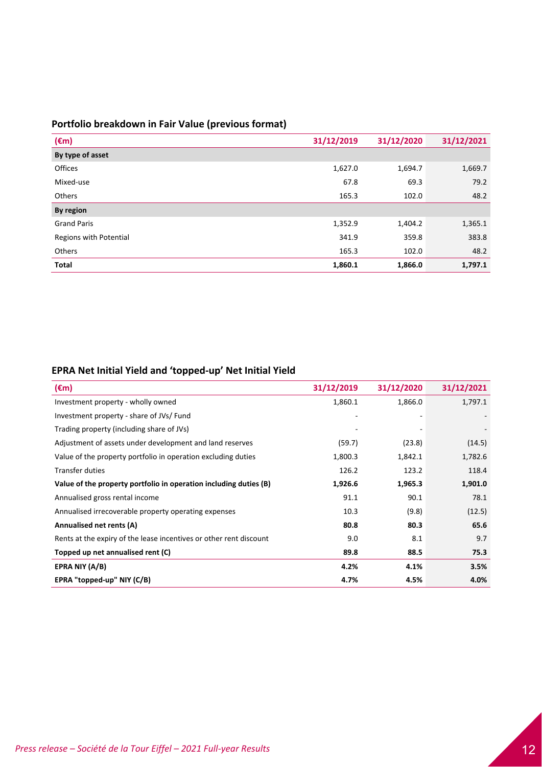# **Portfolio breakdown in Fair Value (previous format)**

| $(\epsilon m)$         | 31/12/2020<br>31/12/2019 |         | 31/12/2021 |
|------------------------|--------------------------|---------|------------|
| By type of asset       |                          |         |            |
| Offices                | 1,627.0                  | 1,694.7 | 1,669.7    |
| Mixed-use              | 67.8                     | 69.3    | 79.2       |
| <b>Others</b>          | 165.3                    | 102.0   | 48.2       |
| By region              |                          |         |            |
| <b>Grand Paris</b>     | 1,352.9                  | 1,404.2 | 1,365.1    |
| Regions with Potential | 341.9                    | 359.8   | 383.8      |
| Others                 | 165.3                    | 102.0   | 48.2       |
| Total                  | 1,860.1                  | 1,866.0 | 1,797.1    |

# **EPRA Net Initial Yield and 'topped‐up' Net Initial Yield**

| $(\epsilon m)$                                                     | 31/12/2019 | 31/12/2020 | 31/12/2021 |
|--------------------------------------------------------------------|------------|------------|------------|
| Investment property - wholly owned                                 | 1,860.1    | 1,866.0    | 1,797.1    |
| Investment property - share of JVs/ Fund                           |            |            |            |
| Trading property (including share of JVs)                          |            |            |            |
| Adjustment of assets under development and land reserves           | (59.7)     | (23.8)     | (14.5)     |
| Value of the property portfolio in operation excluding duties      | 1,800.3    | 1,842.1    | 1,782.6    |
| <b>Transfer duties</b>                                             | 126.2      | 123.2      | 118.4      |
| Value of the property portfolio in operation including duties (B)  | 1,926.6    | 1,965.3    | 1,901.0    |
| Annualised gross rental income                                     | 91.1       | 90.1       | 78.1       |
| Annualised irrecoverable property operating expenses               | 10.3       | (9.8)      | (12.5)     |
| Annualised net rents (A)                                           | 80.8       | 80.3       | 65.6       |
| Rents at the expiry of the lease incentives or other rent discount | 9.0        | 8.1        | 9.7        |
| Topped up net annualised rent (C)                                  | 89.8       | 88.5       | 75.3       |
| EPRA NIY (A/B)                                                     | 4.2%       | 4.1%       | 3.5%       |
| EPRA "topped-up" NIY (C/B)                                         | 4.7%       | 4.5%       | 4.0%       |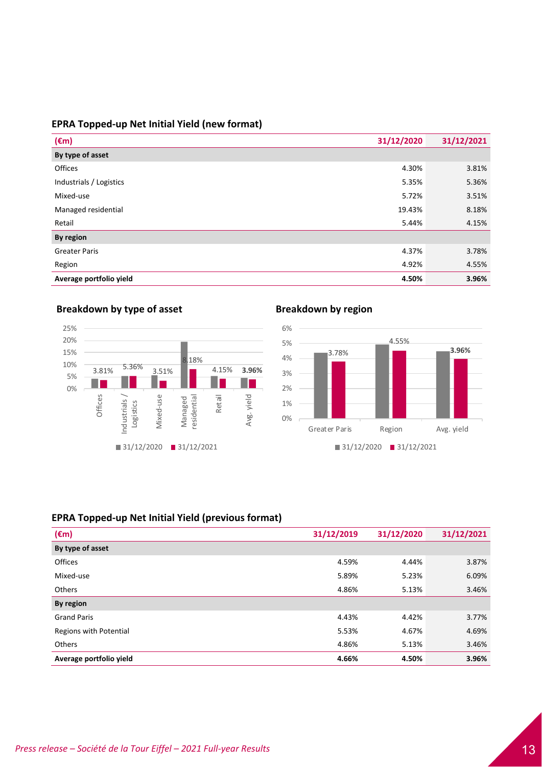# **EPRA Topped‐up Net Initial Yield (new format)**

| $(\epsilon m)$          | 31/12/2020 | 31/12/2021 |
|-------------------------|------------|------------|
| By type of asset        |            |            |
| Offices                 | 4.30%      | 3.81%      |
| Industrials / Logistics | 5.35%      | 5.36%      |
| Mixed-use               | 5.72%      | 3.51%      |
| Managed residential     | 19.43%     | 8.18%      |
| Retail                  | 5.44%      | 4.15%      |
| By region               |            |            |
| <b>Greater Paris</b>    | 4.37%      | 3.78%      |
| Region                  | 4.92%      | 4.55%      |
| Average portfolio yield | 4.50%      | 3.96%      |



# **Breakdown** by type of asset **Breakdown Breakdown** by region



# **EPRA Topped‐up Net Initial Yield (previous format)**

| $(\epsilon m)$          | 31/12/2019 | 31/12/2020 | 31/12/2021 |
|-------------------------|------------|------------|------------|
| By type of asset        |            |            |            |
| Offices                 | 4.59%      | 4.44%      | 3.87%      |
| Mixed-use               | 5.89%      | 5.23%      | 6.09%      |
| <b>Others</b>           | 4.86%      | 5.13%      | 3.46%      |
| By region               |            |            |            |
| <b>Grand Paris</b>      | 4.43%      | 4.42%      | 3.77%      |
| Regions with Potential  | 5.53%      | 4.67%      | 4.69%      |
| <b>Others</b>           | 4.86%      | 5.13%      | 3.46%      |
| Average portfolio yield | 4.66%      | 4.50%      | 3.96%      |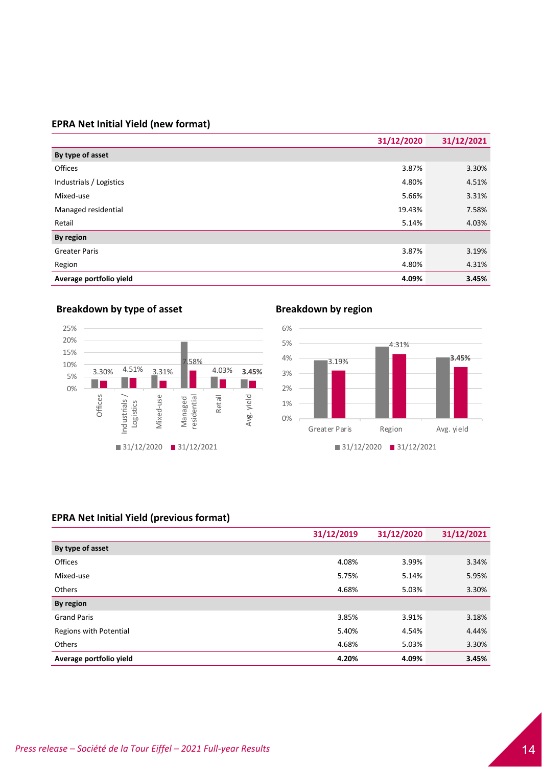# **EPRA Net Initial Yield (new format)**

|                         | 31/12/2020 | 31/12/2021 |
|-------------------------|------------|------------|
| By type of asset        |            |            |
| Offices                 | 3.87%      | 3.30%      |
| Industrials / Logistics | 4.80%      | 4.51%      |
| Mixed-use               | 5.66%      | 3.31%      |
| Managed residential     | 19.43%     | 7.58%      |
| Retail                  | 5.14%      | 4.03%      |
| By region               |            |            |
| <b>Greater Paris</b>    | 3.87%      | 3.19%      |
| Region                  | 4.80%      | 4.31%      |
| Average portfolio yield | 4.09%      | 3.45%      |







# **EPRA Net Initial Yield (previous format)**

|                         | 31/12/2019 | 31/12/2020 | 31/12/2021 |
|-------------------------|------------|------------|------------|
| By type of asset        |            |            |            |
| <b>Offices</b>          | 4.08%      | 3.99%      | 3.34%      |
| Mixed-use               | 5.75%      | 5.14%      | 5.95%      |
| <b>Others</b>           | 4.68%      | 5.03%      | 3.30%      |
| By region               |            |            |            |
| <b>Grand Paris</b>      | 3.85%      | 3.91%      | 3.18%      |
| Regions with Potential  | 5.40%      | 4.54%      | 4.44%      |
| <b>Others</b>           | 4.68%      | 5.03%      | 3.30%      |
| Average portfolio yield | 4.20%      | 4.09%      | 3.45%      |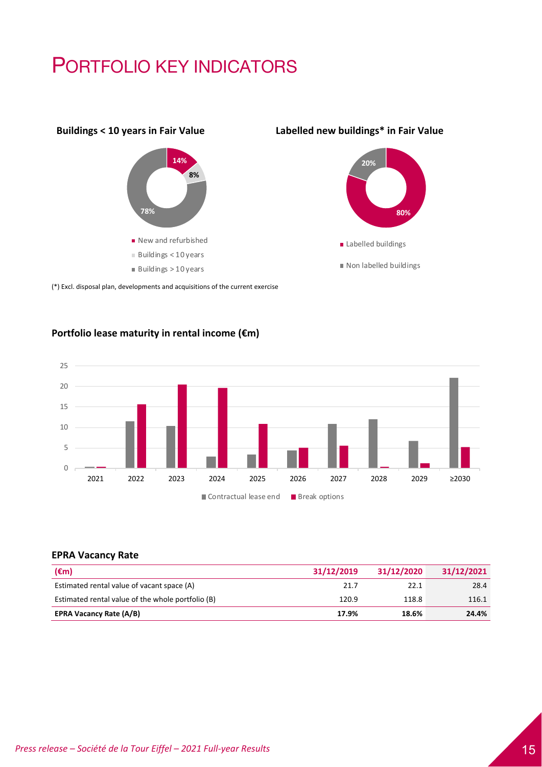# PORTFOLIO KEY INDICATORS



# **Buildings < 10 years in Fair Value Labelled new buildings\* in Fair Value**



(\*) Excl. disposal plan, developments and acquisitions of the current exercise

# **Portfolio lease maturity in rental income (€m)**



# **EPRA Vacancy Rate**

| $(\epsilon m)$                                    | 31/12/2019 | 31/12/2020 | 31/12/2021 |
|---------------------------------------------------|------------|------------|------------|
| Estimated rental value of vacant space (A)        | 21.7       | 22.1       | 28.4       |
| Estimated rental value of the whole portfolio (B) | 120.9      | 118.8      | 116.1      |
| <b>EPRA Vacancy Rate (A/B)</b>                    | 17.9%      | 18.6%      | 24.4%      |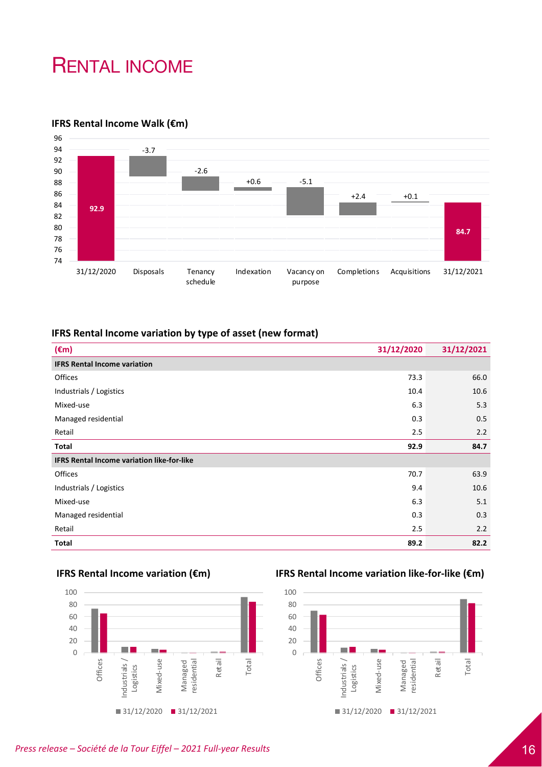# RENTAL INCOME

# **IFRS Rental Income Walk (€m)**



# **IFRS Rental Income variation by type of asset (new format)**

| $(\epsilon m)$                                    | 31/12/2020 | 31/12/2021 |
|---------------------------------------------------|------------|------------|
| <b>IFRS Rental Income variation</b>               |            |            |
| Offices                                           | 73.3       | 66.0       |
| Industrials / Logistics                           | 10.4       | 10.6       |
| Mixed-use                                         | 6.3        | 5.3        |
| Managed residential                               | 0.3        | 0.5        |
| Retail                                            | 2.5        | 2.2        |
| Total                                             | 92.9       | 84.7       |
| <b>IFRS Rental Income variation like-for-like</b> |            |            |
| Offices                                           | 70.7       | 63.9       |
| Industrials / Logistics                           | 9.4        | 10.6       |
| Mixed-use                                         | 6.3        | 5.1        |
| Managed residential                               | 0.3        | 0.3        |
| Retail                                            | 2.5        | 2.2        |
| Total                                             | 89.2       | 82.2       |



# **IFRS Rental Income variation (€m) IFRS Rental Income variation like‐for‐like (€m)**

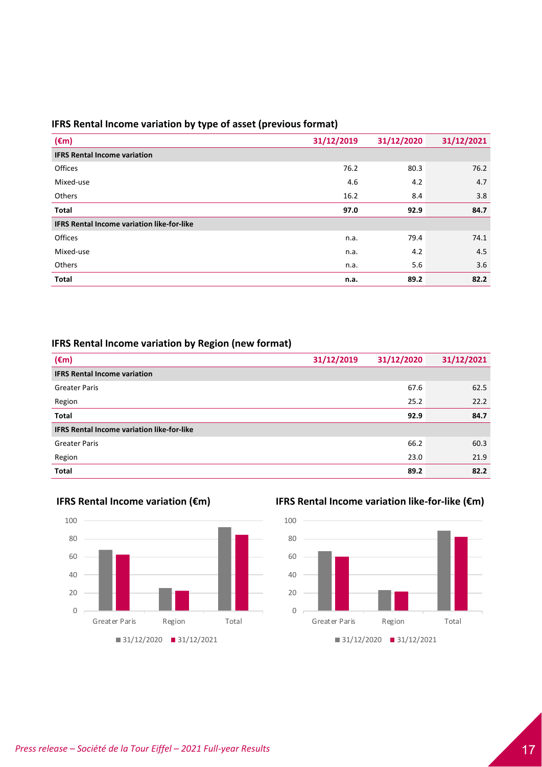# **IFRS Rental Income variation by type of asset (previous format)**

| $(\epsilon m)$                                    | 31/12/2019 | 31/12/2020 | 31/12/2021 |
|---------------------------------------------------|------------|------------|------------|
| <b>IFRS Rental Income variation</b>               |            |            |            |
| Offices                                           | 76.2       | 80.3       | 76.2       |
| Mixed-use                                         | 4.6        | 4.2        | 4.7        |
| Others                                            | 16.2       | 8.4        | 3.8        |
| Total                                             | 97.0       | 92.9       | 84.7       |
| <b>IFRS Rental Income variation like-for-like</b> |            |            |            |
| Offices                                           | n.a.       | 79.4       | 74.1       |
| Mixed-use                                         | n.a.       | 4.2        | 4.5        |
| Others                                            | n.a.       | 5.6        | 3.6        |
| <b>Total</b>                                      | n.a.       | 89.2       | 82.2       |

# **IFRS Rental Income variation by Region (new format)**

| $(\epsilon m)$                                    | 31/12/2019 | 31/12/2020 | 31/12/2021 |
|---------------------------------------------------|------------|------------|------------|
| <b>IFRS Rental Income variation</b>               |            |            |            |
| <b>Greater Paris</b>                              |            | 67.6       | 62.5       |
| Region                                            |            | 25.2       | 22.2       |
| <b>Total</b>                                      |            | 92.9       | 84.7       |
| <b>IFRS Rental Income variation like-for-like</b> |            |            |            |
| <b>Greater Paris</b>                              |            | 66.2       | 60.3       |
| Region                                            |            | 23.0       | 21.9       |
| <b>Total</b>                                      |            | 89.2       | 82.2       |





# **IFRS Rental Income variation (€m) IFRS Rental Income variation like‐for‐like (€m)**

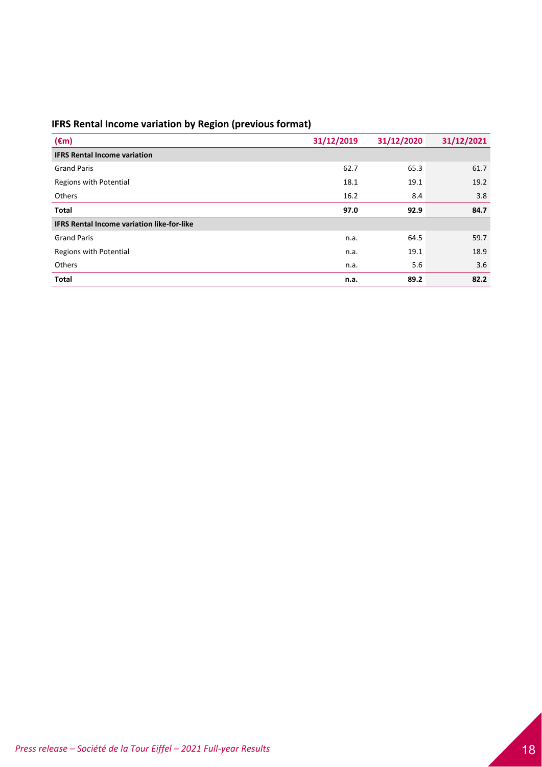# **IFRS Rental Income variation by Region (previous format)**

| $(\epsilon m)$                                    | 31/12/2019 | 31/12/2020 | 31/12/2021 |
|---------------------------------------------------|------------|------------|------------|
| <b>IFRS Rental Income variation</b>               |            |            |            |
| <b>Grand Paris</b>                                | 62.7       | 65.3       | 61.7       |
| Regions with Potential                            | 18.1       | 19.1       | 19.2       |
| Others                                            | 16.2       | 8.4        | 3.8        |
| Total                                             | 97.0       | 92.9       | 84.7       |
| <b>IFRS Rental Income variation like-for-like</b> |            |            |            |
| <b>Grand Paris</b>                                | n.a.       | 64.5       | 59.7       |
| Regions with Potential                            | n.a.       | 19.1       | 18.9       |
| Others                                            | n.a.       | 5.6        | 3.6        |
| <b>Total</b>                                      | n.a.       | 89.2       | 82.2       |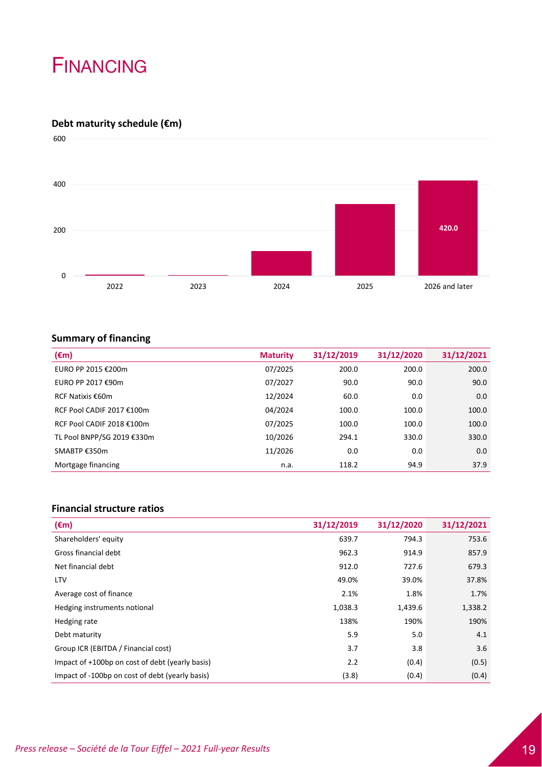# FINANCING

# **Debt maturity schedule (€m)**



# **Summary of financing**

| $(\epsilon m)$             | <b>Maturity</b> | 31/12/2019 | 31/12/2020 | 31/12/2021 |
|----------------------------|-----------------|------------|------------|------------|
| EURO PP 2015 €200m         | 07/2025         | 200.0      | 200.0      | 200.0      |
| EURO PP 2017 €90m          | 07/2027         | 90.0       | 90.0       | 90.0       |
| RCF Natixis €60m           | 12/2024         | 60.0       | 0.0        | 0.0        |
| RCF Pool CADIF 2017 €100m  | 04/2024         | 100.0      | 100.0      | 100.0      |
| RCF Pool CADIF 2018 €100m  | 07/2025         | 100.0      | 100.0      | 100.0      |
| TL Pool BNPP/SG 2019 €330m | 10/2026         | 294.1      | 330.0      | 330.0      |
| SMABTP €350m               | 11/2026         | 0.0        | 0.0        | 0.0        |
| Mortgage financing         | n.a.            | 118.2      | 94.9       | 37.9       |

# **Financial structure ratios**

| $(\epsilon m)$                                  | 31/12/2019 | 31/12/2020 | 31/12/2021 |
|-------------------------------------------------|------------|------------|------------|
| Shareholders' equity                            | 639.7      | 794.3      | 753.6      |
| Gross financial debt                            | 962.3      | 914.9      | 857.9      |
| Net financial debt                              | 912.0      | 727.6      | 679.3      |
| <b>LTV</b>                                      | 49.0%      | 39.0%      | 37.8%      |
| Average cost of finance                         | 2.1%       | 1.8%       | 1.7%       |
| Hedging instruments notional                    | 1,038.3    | 1,439.6    | 1,338.2    |
| Hedging rate                                    | 138%       | 190%       | 190%       |
| Debt maturity                                   | 5.9        | 5.0        | 4.1        |
| Group ICR (EBITDA / Financial cost)             | 3.7        | 3.8        | 3.6        |
| Impact of +100bp on cost of debt (yearly basis) | 2.2        | (0.4)      | (0.5)      |
| Impact of -100bp on cost of debt (yearly basis) | (3.8)      | (0.4)      | (0.4)      |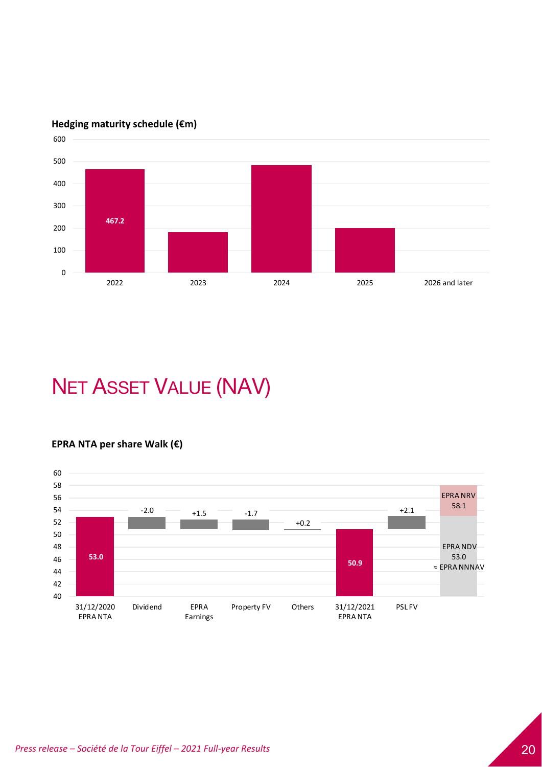

# **Hedging maturity schedule (€m)**

# NET ASSET VALUE (NAV)

# **EPRA NTA per share Walk (€)**

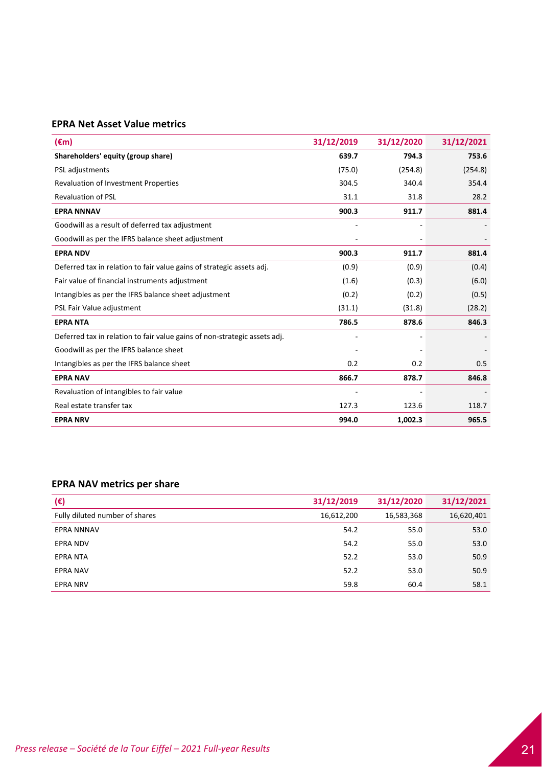# **EPRA Net Asset Value metrics**

| $(\epsilon m)$                                                            | 31/12/2019 | 31/12/2020 | 31/12/2021 |
|---------------------------------------------------------------------------|------------|------------|------------|
| Shareholders' equity (group share)                                        | 639.7      | 794.3      | 753.6      |
| PSL adjustments                                                           | (75.0)     | (254.8)    | (254.8)    |
| Revaluation of Investment Properties                                      | 304.5      | 340.4      | 354.4      |
| <b>Revaluation of PSL</b>                                                 | 31.1       | 31.8       | 28.2       |
| <b>EPRA NNNAV</b>                                                         | 900.3      | 911.7      | 881.4      |
| Goodwill as a result of deferred tax adjustment                           |            |            |            |
| Goodwill as per the IFRS balance sheet adjustment                         |            |            |            |
| <b>EPRA NDV</b>                                                           | 900.3      | 911.7      | 881.4      |
| Deferred tax in relation to fair value gains of strategic assets adj.     | (0.9)      | (0.9)      | (0.4)      |
| Fair value of financial instruments adjustment                            | (1.6)      | (0.3)      | (6.0)      |
| Intangibles as per the IFRS balance sheet adjustment                      | (0.2)      | (0.2)      | (0.5)      |
| PSL Fair Value adjustment                                                 | (31.1)     | (31.8)     | (28.2)     |
| <b>EPRA NTA</b>                                                           | 786.5      | 878.6      | 846.3      |
| Deferred tax in relation to fair value gains of non-strategic assets adj. |            |            |            |
| Goodwill as per the IFRS balance sheet                                    |            |            |            |
| Intangibles as per the IFRS balance sheet                                 | 0.2        | 0.2        | 0.5        |
| <b>EPRA NAV</b>                                                           | 866.7      | 878.7      | 846.8      |
| Revaluation of intangibles to fair value                                  |            |            |            |
| Real estate transfer tax                                                  | 127.3      | 123.6      | 118.7      |
| <b>EPRA NRV</b>                                                           | 994.0      | 1,002.3    | 965.5      |

# **EPRA NAV metrics per share**

| $(\epsilon)$                   | 31/12/2019 | 31/12/2020 | 31/12/2021 |
|--------------------------------|------------|------------|------------|
| Fully diluted number of shares | 16,612,200 | 16,583,368 | 16,620,401 |
| <b>EPRA NNNAV</b>              | 54.2       | 55.0       | 53.0       |
| <b>EPRA NDV</b>                | 54.2       | 55.0       | 53.0       |
| <b>EPRA NTA</b>                | 52.2       | 53.0       | 50.9       |
| <b>EPRA NAV</b>                | 52.2       | 53.0       | 50.9       |
| <b>EPRA NRV</b>                | 59.8       | 60.4       | 58.1       |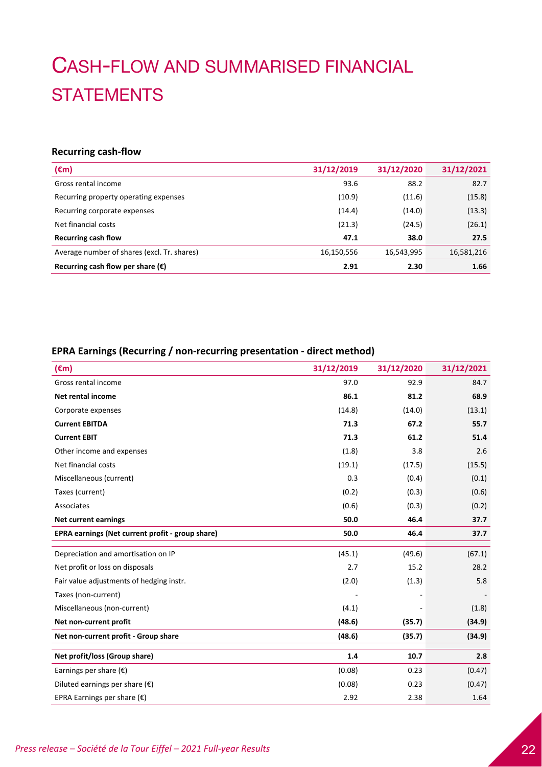# CASH-FLOW AND SUMMARISED FINANCIAL **STATEMENTS**

# **Recurring cash‐flow**

| $(\epsilon m)$                              | 31/12/2019 | 31/12/2020 | 31/12/2021 |
|---------------------------------------------|------------|------------|------------|
| Gross rental income                         | 93.6       | 88.2       | 82.7       |
| Recurring property operating expenses       | (10.9)     | (11.6)     | (15.8)     |
| Recurring corporate expenses                | (14.4)     | (14.0)     | (13.3)     |
| Net financial costs                         | (21.3)     | (24.5)     | (26.1)     |
| <b>Recurring cash flow</b>                  | 47.1       | 38.0       | 27.5       |
| Average number of shares (excl. Tr. shares) | 16,150,556 | 16,543,995 | 16,581,216 |
| Recurring cash flow per share $(\epsilon)$  | 2.91       | 2.30       | 1.66       |

# **EPRA Earnings (Recurring / non‐recurring presentation ‐ direct method)**

| $(\epsilon m)$                                   | 31/12/2019 | 31/12/2020 | 31/12/2021 |
|--------------------------------------------------|------------|------------|------------|
| Gross rental income                              | 97.0       | 92.9       | 84.7       |
| Net rental income                                | 86.1       | 81.2       | 68.9       |
| Corporate expenses                               | (14.8)     | (14.0)     | (13.1)     |
| <b>Current EBITDA</b>                            | 71.3       | 67.2       | 55.7       |
| <b>Current EBIT</b>                              | 71.3       | 61.2       | 51.4       |
| Other income and expenses                        | (1.8)      | 3.8        | 2.6        |
| Net financial costs                              | (19.1)     | (17.5)     | (15.5)     |
| Miscellaneous (current)                          | 0.3        | (0.4)      | (0.1)      |
| Taxes (current)                                  | (0.2)      | (0.3)      | (0.6)      |
| Associates                                       | (0.6)      | (0.3)      | (0.2)      |
| <b>Net current earnings</b>                      | 50.0       | 46.4       | 37.7       |
| EPRA earnings (Net current profit - group share) | 50.0       | 46.4       | 37.7       |
| Depreciation and amortisation on IP              | (45.1)     | (49.6)     | (67.1)     |
| Net profit or loss on disposals                  | 2.7        | 15.2       | 28.2       |
| Fair value adjustments of hedging instr.         | (2.0)      | (1.3)      | 5.8        |
| Taxes (non-current)                              |            |            |            |
| Miscellaneous (non-current)                      | (4.1)      |            | (1.8)      |
| Net non-current profit                           | (48.6)     | (35.7)     | (34.9)     |
| Net non-current profit - Group share             | (48.6)     | (35.7)     | (34.9)     |
| Net profit/loss (Group share)                    | 1.4        | 10.7       | 2.8        |
| Earnings per share $(\epsilon)$                  | (0.08)     | 0.23       | (0.47)     |
| Diluted earnings per share $(\epsilon)$          | (0.08)     | 0.23       | (0.47)     |
| EPRA Earnings per share $(\epsilon)$             | 2.92       | 2.38       | 1.64       |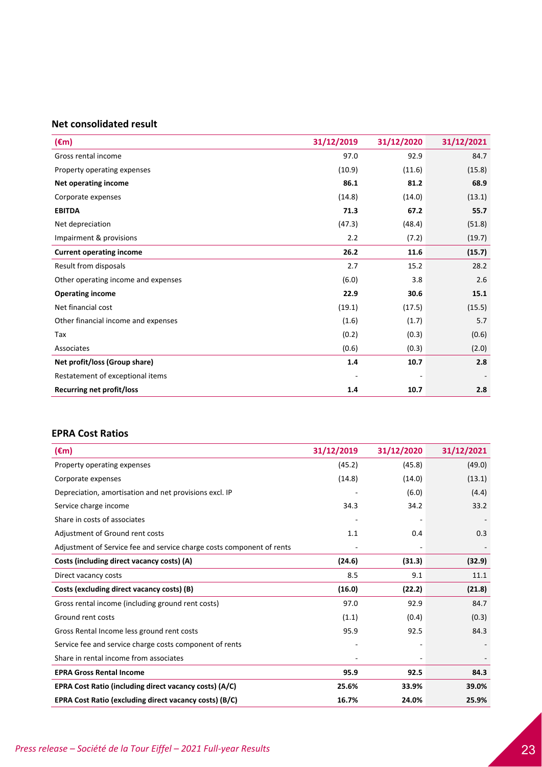# **Net consolidated result**

| $(\epsilon m)$                      | 31/12/2019 | 31/12/2020 | 31/12/2021 |
|-------------------------------------|------------|------------|------------|
| Gross rental income                 | 97.0       | 92.9       | 84.7       |
| Property operating expenses         | (10.9)     | (11.6)     | (15.8)     |
| Net operating income                | 86.1       | 81.2       | 68.9       |
| Corporate expenses                  | (14.8)     | (14.0)     | (13.1)     |
| <b>EBITDA</b>                       | 71.3       | 67.2       | 55.7       |
| Net depreciation                    | (47.3)     | (48.4)     | (51.8)     |
| Impairment & provisions             | 2.2        | (7.2)      | (19.7)     |
| <b>Current operating income</b>     | 26.2       | 11.6       | (15.7)     |
| Result from disposals               | 2.7        | 15.2       | 28.2       |
| Other operating income and expenses | (6.0)      | 3.8        | 2.6        |
| <b>Operating income</b>             | 22.9       | 30.6       | 15.1       |
| Net financial cost                  | (19.1)     | (17.5)     | (15.5)     |
| Other financial income and expenses | (1.6)      | (1.7)      | 5.7        |
| Tax                                 | (0.2)      | (0.3)      | (0.6)      |
| Associates                          | (0.6)      | (0.3)      | (2.0)      |
| Net profit/loss (Group share)       | 1.4        | 10.7       | 2.8        |
| Restatement of exceptional items    |            |            |            |
| <b>Recurring net profit/loss</b>    | 1.4        | 10.7       | 2.8        |

# **EPRA Cost Ratios**

| $(\epsilon m)$                                                        | 31/12/2019 | 31/12/2020 | 31/12/2021 |
|-----------------------------------------------------------------------|------------|------------|------------|
| Property operating expenses                                           | (45.2)     | (45.8)     | (49.0)     |
| Corporate expenses                                                    | (14.8)     | (14.0)     | (13.1)     |
| Depreciation, amortisation and net provisions excl. IP                |            | (6.0)      | (4.4)      |
| Service charge income                                                 | 34.3       | 34.2       | 33.2       |
| Share in costs of associates                                          |            |            |            |
| Adjustment of Ground rent costs                                       | 1.1        | 0.4        | 0.3        |
| Adjustment of Service fee and service charge costs component of rents |            |            |            |
| Costs (including direct vacancy costs) (A)                            | (24.6)     | (31.3)     | (32.9)     |
| Direct vacancy costs                                                  | 8.5        | 9.1        | 11.1       |
| Costs (excluding direct vacancy costs) (B)                            | (16.0)     | (22.2)     | (21.8)     |
| Gross rental income (including ground rent costs)                     | 97.0       | 92.9       | 84.7       |
| Ground rent costs                                                     | (1.1)      | (0.4)      | (0.3)      |
| Gross Rental Income less ground rent costs                            | 95.9       | 92.5       | 84.3       |
| Service fee and service charge costs component of rents               |            |            |            |
| Share in rental income from associates                                |            |            |            |
| <b>EPRA Gross Rental Income</b>                                       | 95.9       | 92.5       | 84.3       |
| EPRA Cost Ratio (including direct vacancy costs) (A/C)                | 25.6%      | 33.9%      | 39.0%      |
| EPRA Cost Ratio (excluding direct vacancy costs) (B/C)                | 16.7%      | 24.0%      | 25.9%      |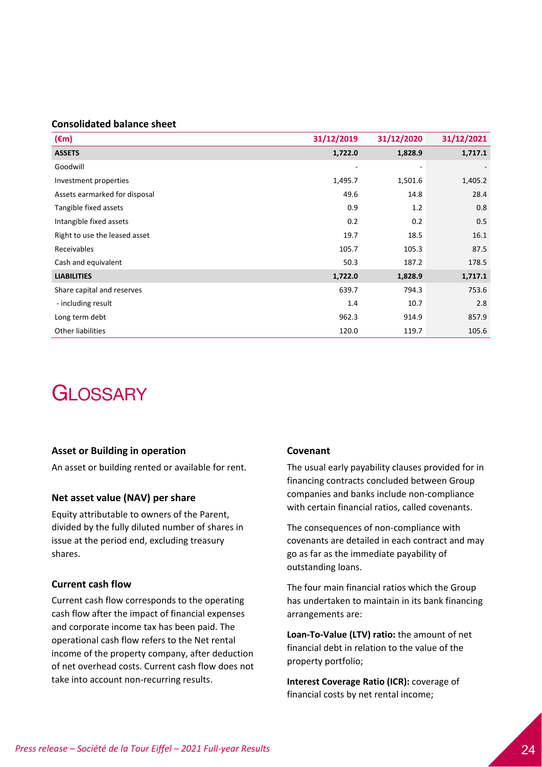# **Consolidated balance sheet**

| $(\epsilon m)$                | 31/12/2019               | 31/12/2020               | 31/12/2021 |
|-------------------------------|--------------------------|--------------------------|------------|
| <b>ASSETS</b>                 | 1,722.0                  | 1,828.9                  | 1,717.1    |
| Goodwill                      | $\overline{\phantom{0}}$ | $\overline{\phantom{a}}$ |            |
| Investment properties         | 1,495.7                  | 1,501.6                  | 1,405.2    |
| Assets earmarked for disposal | 49.6                     | 14.8                     | 28.4       |
| Tangible fixed assets         | 0.9                      | 1.2                      | 0.8        |
| Intangible fixed assets       | 0.2                      | 0.2                      | 0.5        |
| Right to use the leased asset | 19.7                     | 18.5                     | 16.1       |
| Receivables                   | 105.7                    | 105.3                    | 87.5       |
| Cash and equivalent           | 50.3                     | 187.2                    | 178.5      |
| <b>LIABILITIES</b>            | 1,722.0                  | 1,828.9                  | 1,717.1    |
| Share capital and reserves    | 639.7                    | 794.3                    | 753.6      |
| - including result            | 1.4                      | 10.7                     | 2.8        |
| Long term debt                | 962.3                    | 914.9                    | 857.9      |
| Other liabilities             | 120.0                    | 119.7                    | 105.6      |

# **GLOSSARY**

#### **Asset or Building in operation**

An asset or building rented or available for rent.

### **Net asset value (NAV) per share**

Equity attributable to owners of the Parent, divided by the fully diluted number of shares in issue at the period end, excluding treasury shares.

## **Current cash flow**

Current cash flow corresponds to the operating cash flow after the impact of financial expenses and corporate income tax has been paid. The operational cash flow refers to the Net rental income of the property company, after deduction of net overhead costs. Current cash flow does not take into account non‐recurring results.

#### **Covenant**

The usual early payability clauses provided for in financing contracts concluded between Group companies and banks include non‐compliance with certain financial ratios, called covenants.

The consequences of non‐compliance with covenants are detailed in each contract and may go as far as the immediate payability of outstanding loans.

The four main financial ratios which the Group has undertaken to maintain in its bank financing arrangements are:

**Loan‐To‐Value (LTV) ratio:** the amount of net financial debt in relation to the value of the property portfolio;

**Interest Coverage Ratio (ICR):** coverage of financial costs by net rental income;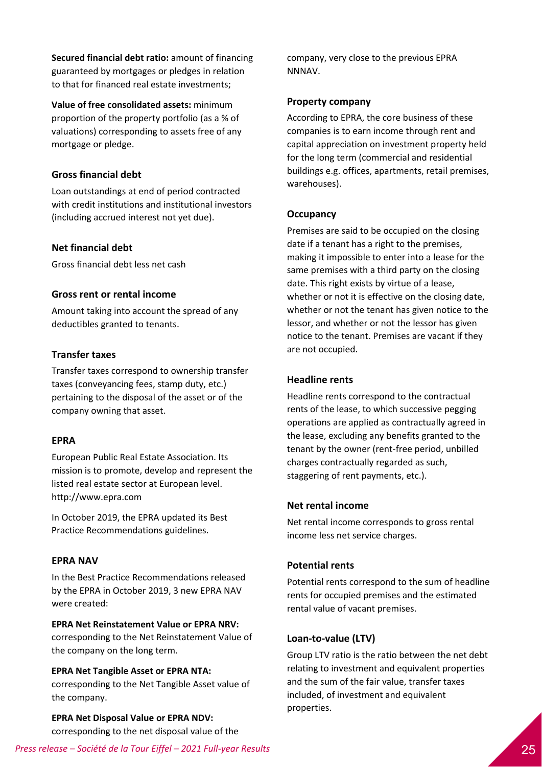**Secured financial debt ratio:** amount of financing guaranteed by mortgages or pledges in relation to that for financed real estate investments;

**Value of free consolidated assets:** minimum proportion of the property portfolio (as a % of valuations) corresponding to assets free of any mortgage or pledge.

# **Gross financial debt**

Loan outstandings at end of period contracted with credit institutions and institutional investors (including accrued interest not yet due).

# **Net financial debt**

Gross financial debt less net cash

# **Gross rent or rental income**

Amount taking into account the spread of any deductibles granted to tenants.

# **Transfer taxes**

Transfer taxes correspond to ownership transfer taxes (conveyancing fees, stamp duty, etc.) pertaining to the disposal of the asset or of the company owning that asset.

# **EPRA**

European Public Real Estate Association. Its mission is to promote, develop and represent the listed real estate sector at European level. http://www.epra.com

In October 2019, the EPRA updated its Best Practice Recommendations guidelines.

# **EPRA NAV**

In the Best Practice Recommendations released by the EPRA in October 2019, 3 new EPRA NAV were created:

# **EPRA Net Reinstatement Value or EPRA NRV:**

corresponding to the Net Reinstatement Value of the company on the long term.

#### **EPRA Net Tangible Asset or EPRA NTA:**

corresponding to the Net Tangible Asset value of the company.

**EPRA Net Disposal Value or EPRA NDV:** corresponding to the net disposal value of the company, very close to the previous EPRA NNNAV.

### **Property company**

According to EPRA, the core business of these companies is to earn income through rent and capital appreciation on investment property held for the long term (commercial and residential buildings e.g. offices, apartments, retail premises, warehouses).

### **Occupancy**

Premises are said to be occupied on the closing date if a tenant has a right to the premises, making it impossible to enter into a lease for the same premises with a third party on the closing date. This right exists by virtue of a lease, whether or not it is effective on the closing date, whether or not the tenant has given notice to the lessor, and whether or not the lessor has given notice to the tenant. Premises are vacant if they are not occupied.

## **Headline rents**

Headline rents correspond to the contractual rents of the lease, to which successive pegging operations are applied as contractually agreed in the lease, excluding any benefits granted to the tenant by the owner (rent‐free period, unbilled charges contractually regarded as such, staggering of rent payments, etc.).

### **Net rental income**

Net rental income corresponds to gross rental income less net service charges.

# **Potential rents**

Potential rents correspond to the sum of headline rents for occupied premises and the estimated rental value of vacant premises.

#### **Loan‐to‐value (LTV)**

Group LTV ratio is the ratio between the net debt relating to investment and equivalent properties and the sum of the fair value, transfer taxes included, of investment and equivalent properties.